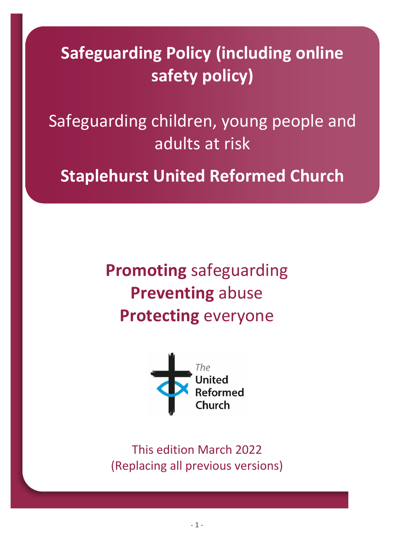**Safeguarding Policy (including online safety policy)**

Safeguarding children, young people and adults at risk

**Staplehurst United Reformed Church**

**Promoting** safeguarding **Preventing** abuse **Protecting** everyone



This edition March 2022 (Replacing all previous versions)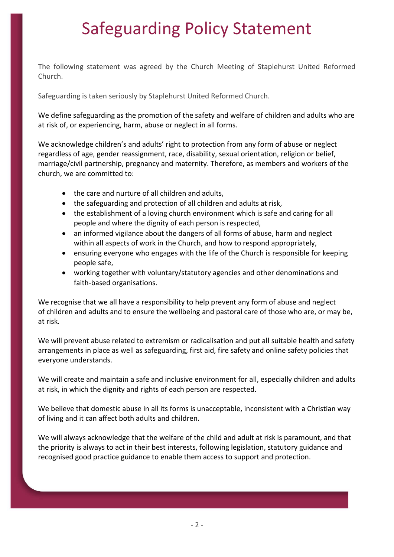### Safeguarding Policy Statement

The following statement was agreed by the Church Meeting of Staplehurst United Reformed Church.

Safeguarding is taken seriously by Staplehurst United Reformed Church.

We define safeguarding as the promotion of the safety and welfare of children and adults who are at risk of, or experiencing, harm, abuse or neglect in all forms.

We acknowledge children's and adults' right to protection from any form of abuse or neglect regardless of age, gender reassignment, race, disability, sexual orientation, religion or belief, marriage/civil partnership, pregnancy and maternity. Therefore, as members and workers of the church, we are committed to:

- the care and nurture of all children and adults,
- the safeguarding and protection of all children and adults at risk,
- the establishment of a loving church environment which is safe and caring for all people and where the dignity of each person is respected,
- an informed vigilance about the dangers of all forms of abuse, harm and neglect within all aspects of work in the Church, and how to respond appropriately,
- ensuring everyone who engages with the life of the Church is responsible for keeping people safe,
- working together with voluntary/statutory agencies and other denominations and faith-based organisations.

We recognise that we all have a responsibility to help prevent any form of abuse and neglect of children and adults and to ensure the wellbeing and pastoral care of those who are, or may be, at risk.

We will prevent abuse related to extremism or radicalisation and put all suitable health and safety arrangements in place as well as safeguarding, first aid, fire safety and online safety policies that everyone understands.

We will create and maintain a safe and inclusive environment for all, especially children and adults at risk, in which the dignity and rights of each person are respected.

We believe that domestic abuse in all its forms is unacceptable, inconsistent with a Christian way of living and it can affect both adults and children.

We will always acknowledge that the welfare of the child and adult at risk is paramount, and that the priority is always to act in their best interests, following legislation, statutory guidance and recognised good practice guidance to enable them access to support and protection.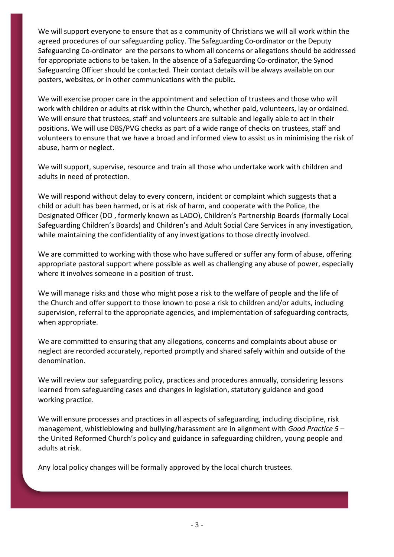We will support everyone to ensure that as a community of Christians we will all work within the agreed procedures of our safeguarding policy. The Safeguarding Co-ordinator or the Deputy Safeguarding Co-ordinator are the persons to whom all concerns or allegations should be addressed for appropriate actions to be taken. In the absence of a Safeguarding Co-ordinator, the Synod Safeguarding Officer should be contacted. Their contact details will be always available on our posters, websites, or in other communications with the public.

We will exercise proper care in the appointment and selection of trustees and those who will work with children or adults at risk within the Church, whether paid, volunteers, lay or ordained. We will ensure that trustees, staff and volunteers are suitable and legally able to act in their positions. We will use DBS/PVG checks as part of a wide range of checks on trustees, staff and volunteers to ensure that we have a broad and informed view to assist us in minimising the risk of abuse, harm or neglect.

We will support, supervise, resource and train all those who undertake work with children and adults in need of protection.

We will respond without delay to every concern, incident or complaint which suggests that a child or adult has been harmed, or is at risk of harm, and cooperate with the Police, the Designated Officer (DO , formerly known as LADO), Children's Partnership Boards (formally Local Safeguarding Children's Boards) and Children's and Adult Social Care Services in any investigation, while maintaining the confidentiality of any investigations to those directly involved.

We are committed to working with those who have suffered or suffer any form of abuse, offering appropriate pastoral support where possible as well as challenging any abuse of power, especially where it involves someone in a position of trust.

We will manage risks and those who might pose a risk to the welfare of people and the life of the Church and offer support to those known to pose a risk to children and/or adults, including supervision, referral to the appropriate agencies, and implementation of safeguarding contracts, when appropriate.

We are committed to ensuring that any allegations, concerns and complaints about abuse or neglect are recorded accurately, reported promptly and shared safely within and outside of the denomination.

We will review our safeguarding policy, practices and procedures annually, considering lessons learned from safeguarding cases and changes in legislation, statutory guidance and good working practice.

We will ensure processes and practices in all aspects of safeguarding, including discipline, risk management, whistleblowing and bullying/harassment are in alignment with *Good Practice 5* – the United Reformed Church's policy and guidance in safeguarding children, young people and adults at risk.

Any local policy changes will be formally approved by the local church trustees.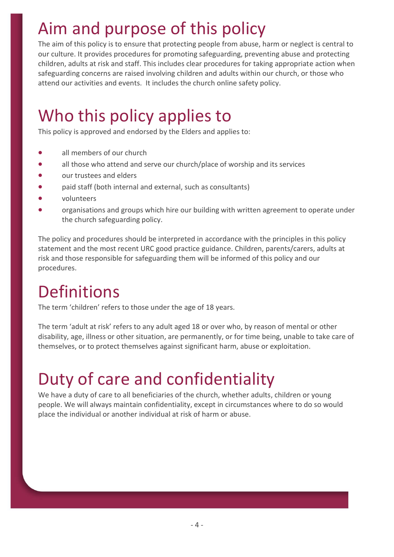# Aim and purpose of this policy

The aim of this policy is to ensure that protecting people from abuse, harm or neglect is central to our culture. It provides procedures for promoting safeguarding, preventing abuse and protecting children, adults at risk and staff. This includes clear procedures for taking appropriate action when safeguarding concerns are raised involving children and adults within our church, or those who attend our activities and events. It includes the church online safety policy.

## Who this policy applies to

This policy is approved and endorsed by the Elders and applies to:

- all members of our church
- all those who attend and serve our church/place of worship and its services
- our trustees and elders
- paid staff (both internal and external, such as consultants)
- volunteers
- organisations and groups which hire our building with written agreement to operate under the church safeguarding policy.

The policy and procedures should be interpreted in accordance with the principles in this policy statement and the most recent URC good practice guidance. Children, parents/carers, adults at risk and those responsible for safeguarding them will be informed of this policy and our procedures.

### Definitions

The term 'children' refers to those under the age of 18 years.

The term 'adult at risk' refers to any adult aged 18 or over who, by reason of mental or other disability, age, illness or other situation, are permanently, or for time being, unable to take care of themselves, or to protect themselves against significant harm, abuse or exploitation.

# Duty of care and confidentiality

We have a duty of care to all beneficiaries of the church, whether adults, children or young people. We will always maintain confidentiality, except in circumstances where to do so would place the individual or another individual at risk of harm or abuse.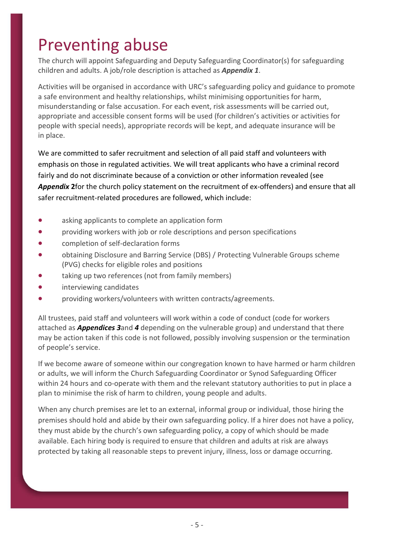### Preventing abuse

The church will appoint Safeguarding and Deputy Safeguarding Coordinator(s) for safeguarding children and adults. A job/role description is attached as *Appendix 1*.

Activities will be organised in accordance with URC's safeguarding policy and guidance to promote a safe environment and healthy relationships, whilst minimising opportunities for harm, misunderstanding or false accusation. For each event, risk assessments will be carried out, appropriate and accessible consent forms will be used (for children's activities or activities for people with special needs), appropriate records will be kept, and adequate insurance will be in place.

We are committed to safer recruitment and selection of all paid staff and volunteers with emphasis on those in regulated activities. We will treat applicants who have a criminal record fairly and do not discriminate because of a conviction or other information revealed (see *Appendix* **2**for the church policy statement on the recruitment of ex-offenders) and ensure that all safer recruitment-related procedures are followed, which include:

- asking applicants to complete an application form
- providing workers with job or role descriptions and person specifications
- completion of self-declaration forms
- obtaining Disclosure and Barring Service (DBS) / Protecting Vulnerable Groups scheme (PVG) checks for eligible roles and positions
- taking up two references (not from family members)
- interviewing candidates
- providing workers/volunteers with written contracts/agreements.

All trustees, paid staff and volunteers will work within a code of conduct (code for workers attached as *Appendices 3*and *4* depending on the vulnerable group) and understand that there may be action taken if this code is not followed, possibly involving suspension or the termination of people's service.

If we become aware of someone within our congregation known to have harmed or harm children or adults, we will inform the Church Safeguarding Coordinator or Synod Safeguarding Officer within 24 hours and co-operate with them and the relevant statutory authorities to put in place a plan to minimise the risk of harm to children, young people and adults.

When any church premises are let to an external, informal group or individual, those hiring the premises should hold and abide by their own safeguarding policy. If a hirer does not have a policy, they must abide by the church's own safeguarding policy, a copy of which should be made available. Each hiring body is required to ensure that children and adults at risk are always protected by taking all reasonable steps to prevent injury, illness, loss or damage occurring.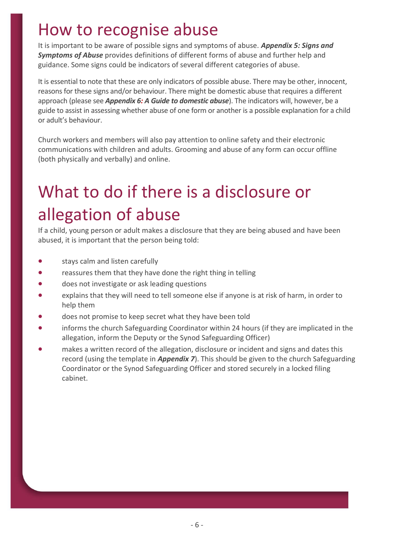#### How to recognise abuse

It is important to be aware of possible signs and symptoms of abuse. *Appendix 5: Signs and Symptoms of Abuse* provides definitions of different forms of abuse and further help and guidance. Some signs could be indicators of several different categories of abuse.

It is essential to note that these are only indicators of possible abuse. There may be other, innocent, reasons for these signs and/or behaviour. There might be domestic abuse that requires a different approach (please see *Appendix 6: A Guide to domestic abuse*). The indicators will, however, be a guide to assist in assessing whether abuse of one form or another is a possible explanation for a child or adult's behaviour.

Church workers and members will also pay attention to online safety and their electronic communications with children and adults. Grooming and abuse of any form can occur offline (both physically and verbally) and online.

# What to do if there is a disclosure or allegation of abuse

If a child, young person or adult makes a disclosure that they are being abused and have been abused, it is important that the person being told:

- stays calm and listen carefully
- reassures them that they have done the right thing in telling
- does not investigate or ask leading questions
- explains that they will need to tell someone else if anyone is at risk of harm, in order to help them
- does not promise to keep secret what they have been told
- informs the church Safeguarding Coordinator within 24 hours (if they are implicated in the allegation, inform the Deputy or the Synod Safeguarding Officer)
- makes a written record of the allegation, disclosure or incident and signs and dates this record (using the template in *Appendix 7*). This should be given to the church Safeguarding Coordinator or the Synod Safeguarding Officer and stored securely in a locked filing cabinet.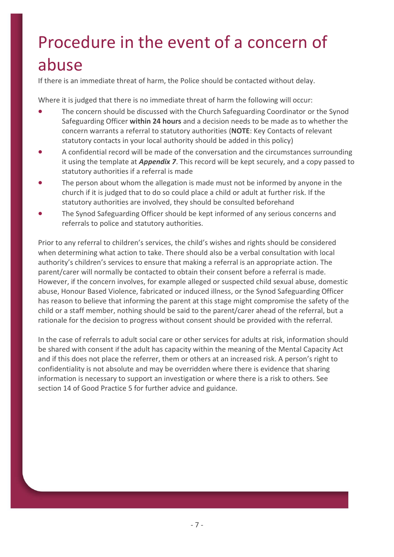# Procedure in the event of a concern of abuse

If there is an immediate threat of harm, the Police should be contacted without delay.

Where it is judged that there is no immediate threat of harm the following will occur:

- The concern should be discussed with the Church Safeguarding Coordinator or the Synod Safeguarding Officer **within 24 hours** and a decision needs to be made as to whether the concern warrants a referral to statutory authorities (**NOTE**: Key Contacts of relevant statutory contacts in your local authority should be added in this policy)
- A confidential record will be made of the conversation and the circumstances surrounding it using the template at *Appendix 7*. This record will be kept securely, and a copy passed to statutory authorities if a referral is made
- The person about whom the allegation is made must not be informed by anyone in the church if it is judged that to do so could place a child or adult at further risk. If the statutory authorities are involved, they should be consulted beforehand
- The Synod Safeguarding Officer should be kept informed of any serious concerns and referrals to police and statutory authorities.

Prior to any referral to children's services, the child's wishes and rights should be considered when determining what action to take. There should also be a verbal consultation with local authority's children's services to ensure that making a referral is an appropriate action. The parent/carer will normally be contacted to obtain their consent before a referral is made. However, if the concern involves, for example alleged or suspected child sexual abuse, domestic abuse, Honour Based Violence, fabricated or induced illness, or the Synod Safeguarding Officer has reason to believe that informing the parent at this stage might compromise the safety of the child or a staff member, nothing should be said to the parent/carer ahead of the referral, but a rationale for the decision to progress without consent should be provided with the referral.

In the case of referrals to adult social care or other services for adults at risk, information should be shared with consent if the adult has capacity within the meaning of the Mental Capacity Act and if this does not place the referrer, them or others at an increased risk. A person's right to confidentiality is not absolute and may be overridden where there is evidence that sharing information is necessary to support an investigation or where there is a risk to others. See section 14 of Good Practice 5 for further advice and guidance.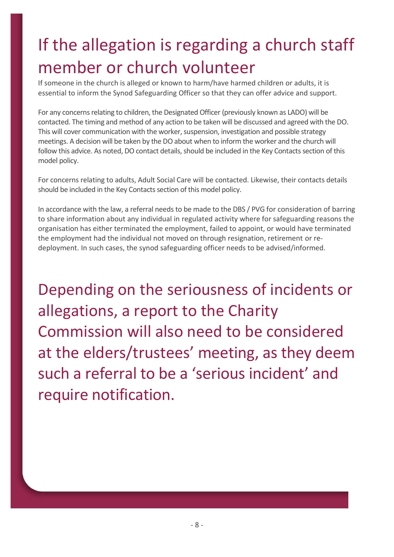# If the allegation is regarding a church staff member or church volunteer

If someone in the church is alleged or known to harm/have harmed children or adults, it is essential to inform the Synod Safeguarding Officer so that they can offer advice and support.

For any concerns relating to children, the Designated Officer (previously known as LADO) will be contacted. The timing and method of any action to be taken will be discussed and agreed with the DO. This will cover communication with the worker, suspension, investigation and possible strategy meetings. A decision will be taken by the DO about when to inform the worker and the church will follow this advice. As noted, DO contact details, should be included in the Key Contacts section of this model policy.

For concerns relating to adults, Adult Social Care will be contacted. Likewise, their contacts details should be included in the Key Contacts section of this model policy.

In accordance with the law, a referral needs to be made to the DBS / PVG for consideration of barring to share information about any individual in regulated activity where for safeguarding reasons the organisation has either terminated the employment, failed to appoint, or would have terminated the employment had the individual not moved on through resignation, retirement or redeployment. In such cases, the synod safeguarding officer needs to be advised/informed.

Depending on the seriousness of incidents or allegations, a report to the Charity Commission will also need to be considered at the elders/trustees' meeting, as they deem such a referral to be a 'serious incident' and require notification.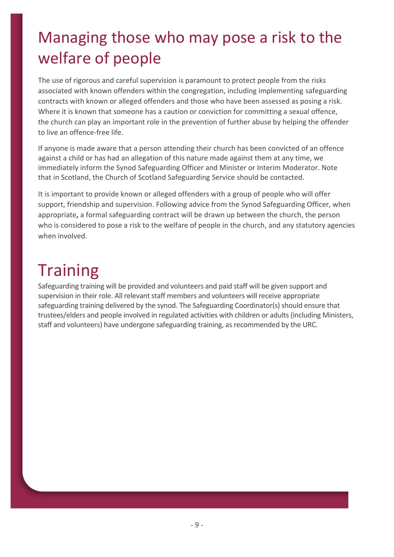### Managing those who may pose a risk to the welfare of people

The use of rigorous and careful supervision is paramount to protect people from the risks associated with known offenders within the congregation, including implementing safeguarding contracts with known or alleged offenders and those who have been assessed as posing a risk. Where it is known that someone has a caution or conviction for committing a sexual offence, the church can play an important role in the prevention of further abuse by helping the offender to live an offence-free life.

If anyone is made aware that a person attending their church has been convicted of an offence against a child or has had an allegation of this nature made against them at any time, we immediately inform the Synod Safeguarding Officer and Minister or Interim Moderator. Note that in Scotland, the Church of Scotland Safeguarding Service should be contacted.

It is important to provide known or alleged offenders with a group of people who will offer support, friendship and supervision. Following advice from the Synod Safeguarding Officer, when appropriate**,** a formal safeguarding contract will be drawn up between the church, the person who is considered to pose a risk to the welfare of people in the church, and any statutory agencies when involved.

# **Training**

Safeguarding training will be provided and volunteers and paid staff will be given support and supervision in their role. All relevant staff members and volunteers will receive appropriate safeguarding training delivered by the synod. The Safeguarding Coordinator(s) should ensure that trustees/elders and people involved in regulated activities with children or adults (including Ministers, staff and volunteers) have undergone safeguarding training, as recommended by the URC.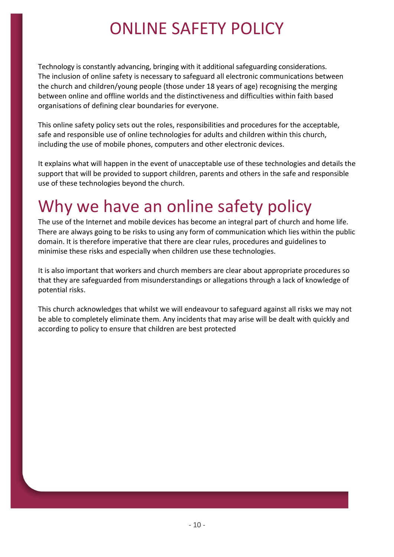### ONLINE SAFETY POLICY

Technology is constantly advancing, bringing with it additional safeguarding considerations. The inclusion of online safety is necessary to safeguard all electronic communications between the church and children/young people (those under 18 years of age) recognising the merging between online and offline worlds and the distinctiveness and difficulties within faith based organisations of defining clear boundaries for everyone.

This online safety policy sets out the roles, responsibilities and procedures for the acceptable, safe and responsible use of online technologies for adults and children within this church, including the use of mobile phones, computers and other electronic devices.

It explains what will happen in the event of unacceptable use of these technologies and details the support that will be provided to support children, parents and others in the safe and responsible use of these technologies beyond the church.

### Why we have an online safety policy

The use of the Internet and mobile devices has become an integral part of church and home life. There are always going to be risks to using any form of communication which lies within the public domain. It is therefore imperative that there are clear rules, procedures and guidelines to minimise these risks and especially when children use these technologies.

It is also important that workers and church members are clear about appropriate procedures so that they are safeguarded from misunderstandings or allegations through a lack of knowledge of potential risks.

This church acknowledges that whilst we will endeavour to safeguard against all risks we may not be able to completely eliminate them. Any incidents that may arise will be dealt with quickly and according to policy to ensure that children are best protected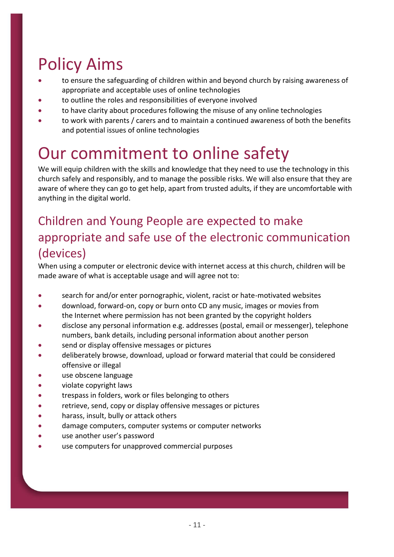# Policy Aims

- to ensure the safeguarding of children within and beyond church by raising awareness of appropriate and acceptable uses of online technologies
- to outline the roles and responsibilities of everyone involved
- to have clarity about procedures following the misuse of any online technologies
- to work with parents / carers and to maintain a continued awareness of both the benefits and potential issues of online technologies

### Our commitment to online safety

We will equip children with the skills and knowledge that they need to use the technology in this church safely and responsibly, and to manage the possible risks. We will also ensure that they are aware of where they can go to get help, apart from trusted adults, if they are uncomfortable with anything in the digital world.

#### Children and Young People are expected to make appropriate and safe use of the electronic communication (devices)

When using a computer or electronic device with internet access at this church, children will be made aware of what is acceptable usage and will agree not to:

- search for and/or enter pornographic, violent, racist or hate-motivated websites
- download, forward-on, copy or burn onto CD any music, images or movies from the Internet where permission has not been granted by the copyright holders
- disclose any personal information e.g. addresses (postal, email or messenger), telephone numbers, bank details, including personal information about another person
- send or display offensive messages or pictures
- deliberately browse, download, upload or forward material that could be considered offensive or illegal
- use obscene language
- violate copyright laws
- trespass in folders, work or files belonging to others
- retrieve, send, copy or display offensive messages or pictures
- harass, insult, bully or attack others
- damage computers, computer systems or computer networks
- use another user's password
- use computers for unapproved commercial purposes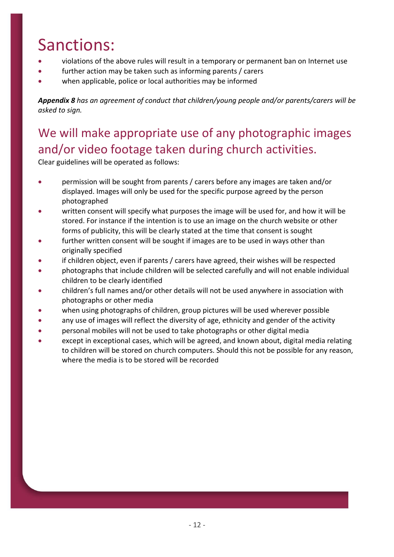# Sanctions:

- violations of the above rules will result in a temporary or permanent ban on Internet use
- further action may be taken such as informing parents / carers
- when applicable, police or local authorities may be informed

*Appendix 8 has an agreement of conduct that children/young people and/or parents/carers will be asked to sign.*

#### We will make appropriate use of any photographic images and/or video footage taken during church activities.

Clear guidelines will be operated as follows:

- permission will be sought from parents / carers before any images are taken and/or displayed. Images will only be used for the specific purpose agreed by the person photographed
- written consent will specify what purposes the image will be used for, and how it will be stored. For instance if the intention is to use an image on the church website or other forms of publicity, this will be clearly stated at the time that consent is sought
- further written consent will be sought if images are to be used in ways other than originally specified
- if children object, even if parents / carers have agreed, their wishes will be respected
- photographs that include children will be selected carefully and will not enable individual children to be clearly identified
- children's full names and/or other details will not be used anywhere in association with photographs or other media
- when using photographs of children, group pictures will be used wherever possible
- any use of images will reflect the diversity of age, ethnicity and gender of the activity
- personal mobiles will not be used to take photographs or other digital media
- except in exceptional cases, which will be agreed, and known about, digital media relating to children will be stored on church computers. Should this not be possible for any reason, where the media is to be stored will be recorded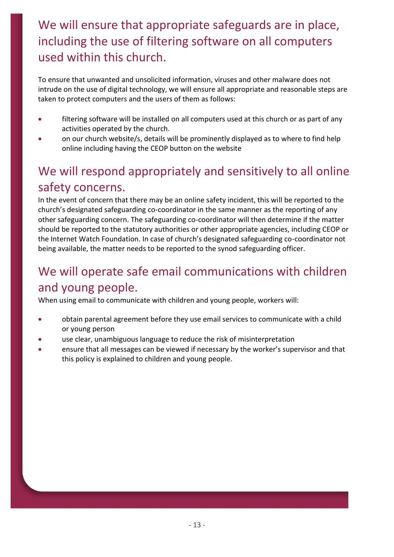#### We will ensure that appropriate safeguards are in place, including the use of filtering software on all computers used within this church.

To ensure that unwanted and unsolicited information, viruses and other malware does not intrude on the use of digital technology, we will ensure all appropriate and reasonable steps are taken to protect computers and the users of them as follows:

- filtering software will be installed on all computers used at this church or as part of any activities operated by the church.
- on our church website/s, details will be prominently displayed as to where to find help online including having the CEOP button on the website

#### We will respond appropriately and sensitively to all online safety concerns.

In the event of concern that there may be an online safety incident, this will be reported to the church's designated safeguarding co-coordinator in the same manner as the reporting of any other safeguarding concern. The safeguarding co-coordinator will then determine if the matter should be reported to the statutory authorities or other appropriate agencies, including CEOP or the Internet Watch Foundation. In case of church's designated safeguarding co-coordinator not being available, the matter needs to be reported to the synod safeguarding officer.

#### We will operate safe email communications with children and young people.

When using email to communicate with children and young people, workers will:

- obtain parental agreement before they use email services to communicate with a child or young person
- use clear, unambiguous language to reduce the risk of misinterpretation
- ensure that all messages can be viewed if necessary by the worker's supervisor and that this policy is explained to children and young people.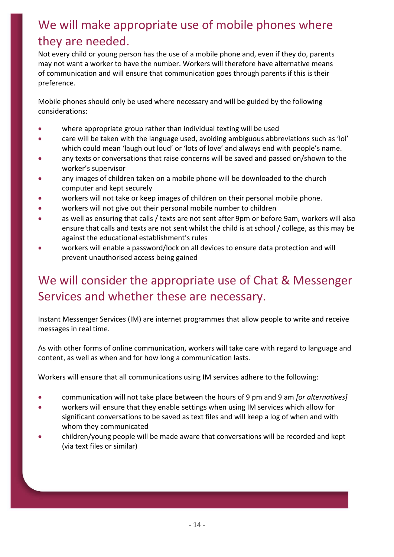#### We will make appropriate use of mobile phones where they are needed.

Not every child or young person has the use of a mobile phone and, even if they do, parents may not want a worker to have the number. Workers will therefore have alternative means of communication and will ensure that communication goes through parents if this is their preference.

Mobile phones should only be used where necessary and will be guided by the following considerations:

- where appropriate group rather than individual texting will be used
- care will be taken with the language used, avoiding ambiguous abbreviations such as 'lol' which could mean 'laugh out loud' or 'lots of love' and always end with people's name.
- any texts or conversations that raise concerns will be saved and passed on/shown to the worker's supervisor
- any images of children taken on a mobile phone will be downloaded to the church computer and kept securely
- workers will not take or keep images of children on their personal mobile phone.
- workers will not give out their personal mobile number to children
- as well as ensuring that calls / texts are not sent after 9pm or before 9am, workers will also ensure that calls and texts are not sent whilst the child is at school / college, as this may be against the educational establishment's rules
- workers will enable a password/lock on all devices to ensure data protection and will prevent unauthorised access being gained

#### We will consider the appropriate use of Chat & Messenger Services and whether these are necessary.

Instant Messenger Services (IM) are internet programmes that allow people to write and receive messages in real time.

As with other forms of online communication, workers will take care with regard to language and content, as well as when and for how long a communication lasts.

Workers will ensure that all communications using IM services adhere to the following:

- communication will not take place between the hours of 9 pm and 9 am *[or alternatives]*
- workers will ensure that they enable settings when using IM services which allow for significant conversations to be saved as text files and will keep a log of when and with whom they communicated
- children/young people will be made aware that conversations will be recorded and kept (via text files or similar)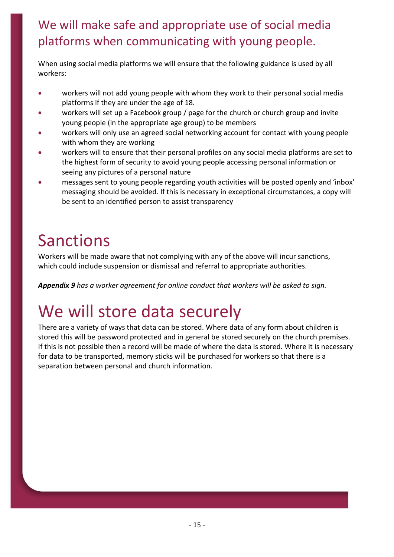#### We will make safe and appropriate use of social media platforms when communicating with young people.

When using social media platforms we will ensure that the following guidance is used by all workers:

- workers will not add young people with whom they work to their personal social media platforms if they are under the age of 18.
- workers will set up a Facebook group / page for the church or church group and invite young people (in the appropriate age group) to be members
- workers will only use an agreed social networking account for contact with young people with whom they are working
- workers will to ensure that their personal profiles on any social media platforms are set to the highest form of security to avoid young people accessing personal information or seeing any pictures of a personal nature
- messages sent to young people regarding youth activities will be posted openly and 'inbox' messaging should be avoided. If this is necessary in exceptional circumstances, a copy will be sent to an identified person to assist transparency

### Sanctions

Workers will be made aware that not complying with any of the above will incur sanctions, which could include suspension or dismissal and referral to appropriate authorities.

*Appendix 9 has a worker agreement for online conduct that workers will be asked to sign.*

### We will store data securely

There are a variety of ways that data can be stored. Where data of any form about children is stored this will be password protected and in general be stored securely on the church premises. If this is not possible then a record will be made of where the data is stored. Where it is necessary for data to be transported, memory sticks will be purchased for workers so that there is a separation between personal and church information.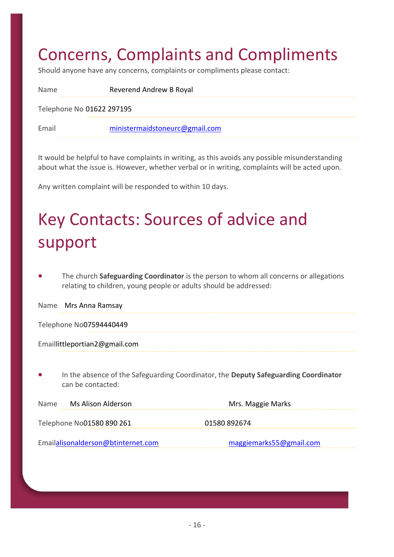#### Concerns, Complaints and Compliments

Should anyone have any concerns, complaints or compliments please contact:

| <b>Name</b>               | Reverend Andrew B Royal        |  |
|---------------------------|--------------------------------|--|
| Telephone No 01622 297195 |                                |  |
| Email                     | ministermaidstoneurc@gmail.com |  |

It would be helpful to have complaints in writing, as this avoids any possible misunderstanding about what the issue is. However, whether verbal or in writing, complaints will be acted upon.

Any written complaint will be responded to within 10 days.

# Key Contacts: Sources of advice and support

• The church **Safeguarding Coordinator** is the person to whom all concerns or allegations relating to children, young people or adults should be addressed:

Name Mrs Anna Ramsay

Telephone No07594440449

Emaillittleportian2@gmail.com

• In the absence of the Safeguarding Coordinator, the **Deputy Safeguarding Coordinator** can be contacted:

| Ms Alison Alderson<br><b>Name</b>  | Mrs. Maggie Marks       |
|------------------------------------|-------------------------|
| Telephone No01580 890 261          | 01580 892674            |
| Emailalisonalderson@btinternet.com | maggiemarks55@gmail.com |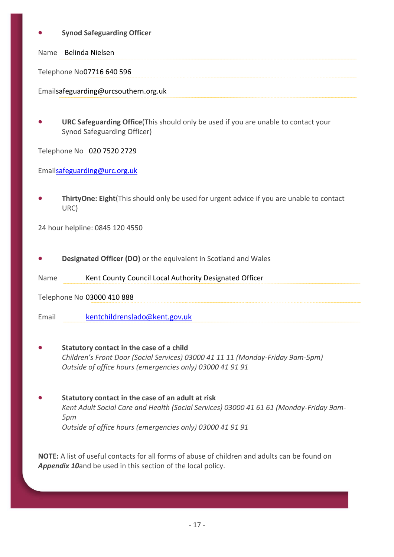#### • **Synod Safeguarding Officer**

Name Belinda Nielsen

Telephone No07716 640 596

Emailsafeguarding@urcsouthern.org.uk

• **URC Safeguarding Office**(This should only be used if you are unable to contact your Synod Safeguarding Officer)

Telephone No 020 7520 2729

Emai[lsafeguarding@urc.org.uk](mailto:safegaurding@urc.org.uk)

• **ThirtyOne: Eight**(This should only be used for urgent advice if you are unable to contact URC)

24 hour helpline: 0845 120 4550

• **Designated Officer (DO)** or the equivalent in Scotland and Wales

Name Kent County Council Local Authority Designated Officer

Telephone No 03000 410 888

Email [kentchildrenslado@kent.gov.uk](mailto:kentchildrenslado@kent.gov.uk)

• **Statutory contact in the case of a child**  *Children's Front Door (Social Services) 03000 41 11 11 (Monday-Friday 9am-5pm) Outside of office hours (emergencies only) 03000 41 91 91*

• **Statutory contact in the case of an adult at risk**  *Kent Adult Social Care and Health (Social Services) 03000 41 61 61 (Monday-Friday 9am-5pm Outside of office hours (emergencies only) 03000 41 91 91*

**NOTE:** A list of useful contacts for all forms of abuse of children and adults can be found on *Appendix 10*and be used in this section of the local policy.